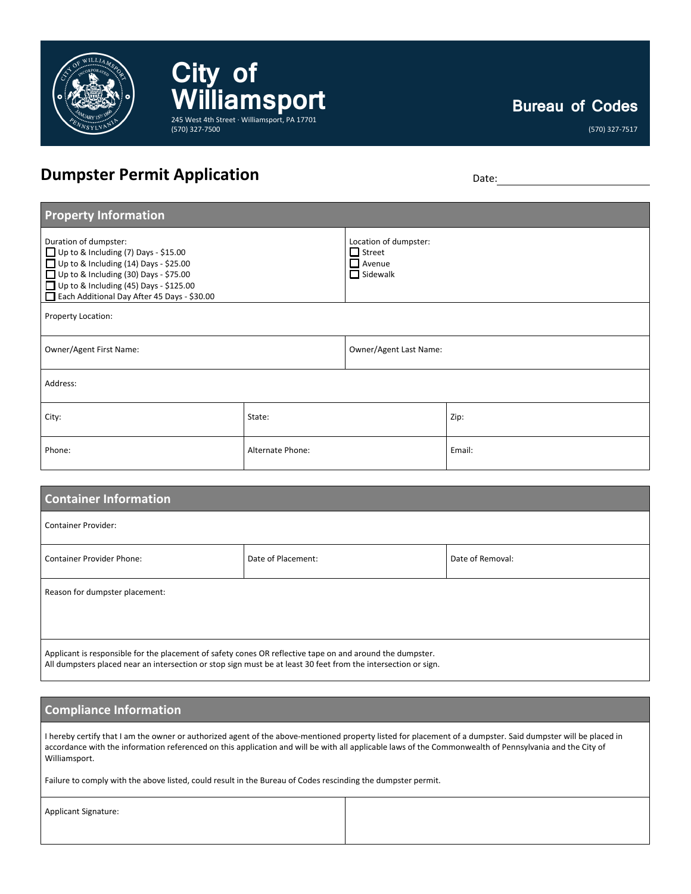

**Bureau of Codes**

## **Dumpster Permit Application** Date: Date: Date:

**City of** 

(570) 327-7500

**Williamsport**

245 West 4th Street · Williamsport, PA 17701

| <b>Property Information</b>                                                                                                                                                                                                                                   |                  |                                                                            |        |  |  |
|---------------------------------------------------------------------------------------------------------------------------------------------------------------------------------------------------------------------------------------------------------------|------------------|----------------------------------------------------------------------------|--------|--|--|
| Duration of dumpster:<br>Up to & Including (7) Days - \$15.00<br>$\Box$ Up to & Including (14) Days - \$25.00<br>$\Box$ Up to & Including (30) Days - \$75.00<br>$\Box$ Up to & Including (45) Days - \$125.00<br>Each Additional Day After 45 Days - \$30.00 |                  | Location of dumpster:<br>$\Box$ Street<br>$\Box$ Avenue<br>$\Box$ Sidewalk |        |  |  |
| Property Location:                                                                                                                                                                                                                                            |                  |                                                                            |        |  |  |
| Owner/Agent First Name:                                                                                                                                                                                                                                       |                  | Owner/Agent Last Name:                                                     |        |  |  |
| Address:                                                                                                                                                                                                                                                      |                  |                                                                            |        |  |  |
| City:                                                                                                                                                                                                                                                         | State:           |                                                                            | Zip:   |  |  |
| Phone:                                                                                                                                                                                                                                                        | Alternate Phone: |                                                                            | Email: |  |  |

| <b>Container Information</b>                                                                                                                                                                                                |                    |                  |  |  |
|-----------------------------------------------------------------------------------------------------------------------------------------------------------------------------------------------------------------------------|--------------------|------------------|--|--|
| <b>Container Provider:</b>                                                                                                                                                                                                  |                    |                  |  |  |
| <b>Container Provider Phone:</b>                                                                                                                                                                                            | Date of Placement: | Date of Removal: |  |  |
| Reason for dumpster placement:                                                                                                                                                                                              |                    |                  |  |  |
|                                                                                                                                                                                                                             |                    |                  |  |  |
| Applicant is responsible for the placement of safety cones OR reflective tape on and around the dumpster.<br>All dumpsters placed near an intersection or stop sign must be at least 30 feet from the intersection or sign. |                    |                  |  |  |

## **Compliance Information**

I hereby certify that I am the owner or authorized agent of the above-mentioned property listed for placement of a dumpster. Said dumpster will be placed in accordance with the information referenced on this application and will be with all applicable laws of the Commonwealth of Pennsylvania and the City of Williamsport.

Failure to comply with the above listed, could result in the Bureau of Codes rescinding the dumpster permit.

Applicant Signature: